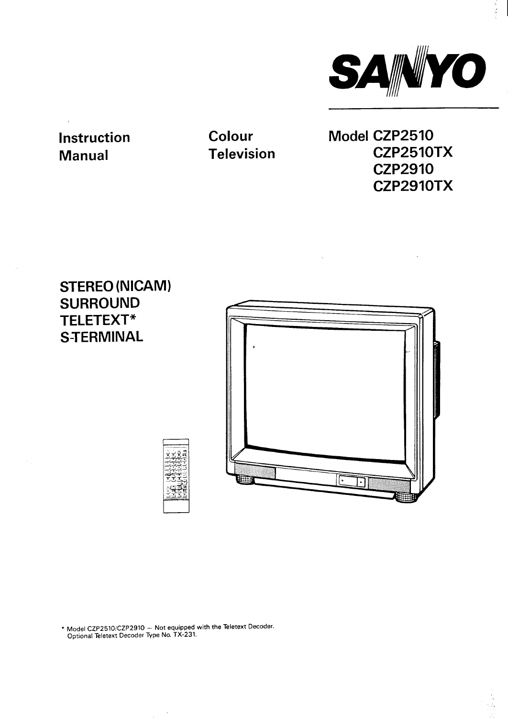

# **Instruction Manual**

**Colour Television** **Model CZP2510 CZP2510TX CZP2910 CZP2910TX**

Ú,

# **STEREO (NICAM) SURROUND TELETEXT\* STERMINAL**



**" Model CZP2510/CZP2910 – Not equipped with the Teletext Decoder. Optional Teletext Decoder Type No. TX-231.**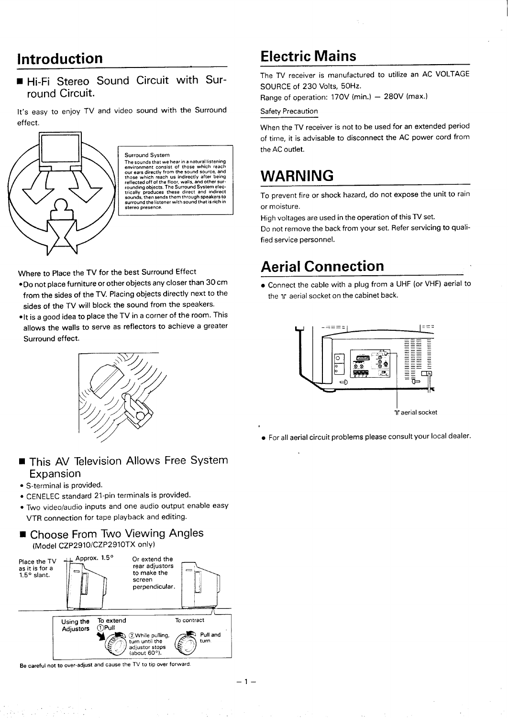## **Introduction**

■ **Hi-Fi Stereo Sound Circuit with Surround Circuit.**

**It's easy to enjoy TV and video sound with the Surround ef feet.**



**Surround System** The sounds that we hear in a natural insteming<br>environment consist of those which reach<br>our ears directly from the sound source, and<br>those which reach us indirectly after being<br>reflected off of the floor, walls, and other

**Where to Place the TV for the best Surround Effect**

- **.Do not place furniture or other objects any closer than 30 cm from the sides of the TV. Placing objects directly next to the sides of the TV will block the sound from the speakers.**
- ●**lt is <sup>a</sup> good idea to place the TV in <sup>a</sup> corner of the room. This allows the walls to serve as reflectors to achieve a greater Surround effect.**



### **H This AV Television Allows Free System Expansion**

- **S-terminal is provided.**
- **CENELEC standard 21-pin terminals is provided.**
- **Two videolaudio inputs and one audio output enable easy VTR connection for tape playback and editing.**
- **Choose From Two Viewing Angles (Model CZP2910/CZP2910TX only)**



**Becareful not to over-adjust and cause the TV to tip over forward**

# **Electric Mains**

**The TV receiver is manufactured to utilize an AC VOLTAGE SOURCE of 230 Volts, 50 Hz.**

**Range of operation: 170V (min.) – 280V (max.)**

#### **Safety Precaution**

**When the TV receiver is not to be used for an extended period of time, it is advisable to disconnect the AC power cord from the AC outlet.**

# **WARNING**

**To prevent fire or shock hazard, do not expose the unit to rain or moisture.**

**High voltages are used in the operation of this TV set.**

**Do not remove the back from your set. Refer servicing to qualified service personnel.**

# **Aerial Connection**

● **Connect the cable with a plug from a UHF (or VHF) aerial to the lr aerial socket on the cabinet back.**



● **For all aerial circuit problems please consult your local dealer.**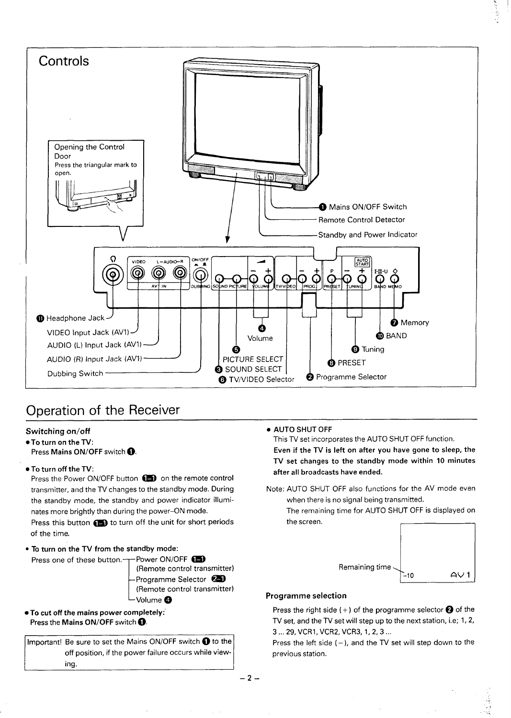

## **Operation of the Receiver**

#### **Switching on/off**

●**To turn on the TV:**

**Press Mains ON/OFF switch ~.**

#### ●**To turn off the TV:**

**Press the Power ON/OFF button ~ on the remote control transmitter, and the TV changes to the standby mode. During the standby mode, the standby and power indicator illuminates more brightly than during the power–ON mode. Press this button ~ to turn off the unit for short periods of the time.**

● **To turn on the TV from the standby mode:**

**Press one of these button. Power ON/OFF ~ (Remote control transmitter) Programme Selector ~**

- **(Remote control transmitter) Volume @**
- **. To cut off the mains power completely:" Press the Mains ON/OFF switch ~.**

**Important! Be sure to set the Mains ON/OFF switch ~ to the off position, if the power failure occurs while viewing.**

● **AUTO SHUT OFF**

**This TV set incorporates the AUTO SHUT OFF function.**

**Even if the TV is left on after you have gone to sleep, the TV set changes to the standby mode within 10 minutes after all broadcasts have ended.**

**Note: AUTO SHUT OFF also functions for the AV mode even when there is no signal being transmitted.**

**The remaining time for AUTO SHUT OFF is displayed on the screen.**



 $\tilde{S}$  $\mathbb{R}_+$ 

... **'.**

### **Programme selection**

**Press the right side (+) of the programme selector ~ of the TV set, and the TV set will step up to the next station, i.e; 1,2, 3...29, VCR1, VCR2, VCR3, 1,2,3 ...**

**Press the left side ( –), and the TV set will step down to the previous station.**

**–2–**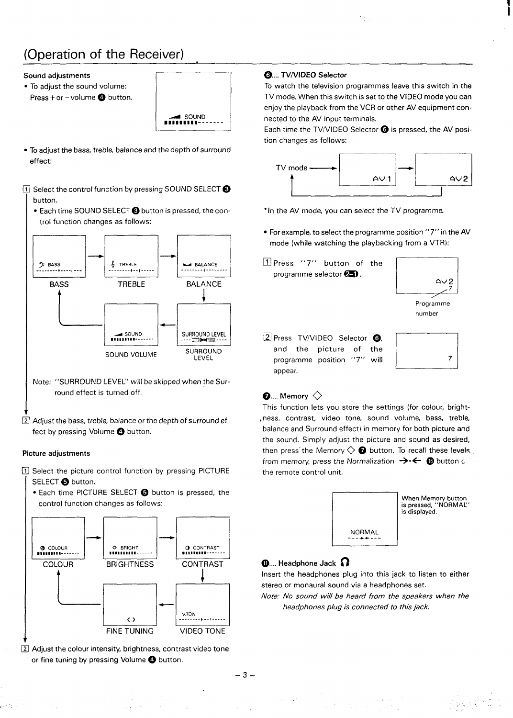# **(Operation of the Receiver)**

#### **Sound adjustments**

● **To adjust the sound volume: Press + or –volume o button.**



**. To adjust the bass, treble, balance and the depth of surround effect:**

### **Select the control function by pressing SOUND SELECT@ button.**

• Each time SOUND SELECT @ button is pressed, the con- \* In the AV mode, you can select the TV programme. **trol function changes as follows:**



- **Note: "SURROUND LEVEL" will be skipped when the Surround effect is turned off.**
- 

 $\ldots$  :

**Adjust the bass, treble, balance or the depth of surround effect by pressing Volume @ button.**

#### **Picture adjustments**

- ❑ **Select the picture control function by pressing PICTURE SELECT @ button.**
	- **Each time PICTURE SELECT @ button is pressed, the control function changes as follows:**



❑ **Adjust the colour intensity, brightness, contrast video tone or fine tuning by pressing Volume @ button.**

 $\mathcal{L} \rightarrow \mathcal{L}$ 

### **@.... TV/VIDEO Selector**

**To watch the television programmed leave this switch in the TV mode. When this switch is set to the VIDEO mode you can enjoy the playback from the VCR or other AV equipment connected to the AV input terminals.**

**Each time the TV/VIDEO Selector @ is pressed, the AV position changes as follows:**



- **For example, to select the programme position "7" in the AV mode** (while watching the playbacking from a VTR):
- **~ Press "7" button of the programme selector ~.**



❑ **Press TV/VIDEO Selector Gi and the picture of the programme position "7" appear.**



 $\beta_{\rm cr} \sim 1$ 

,.. . . . . . , , , ,

### $\bullet$ .... Memory  $\diamondsuit$

**This function lets you store the settings (for colour, brightness, contrast, video tone, sound volume, bass, treble, balance and Surround effect) in memory for both picture and the sound. Simply adjust the picture and sound as desired, then press' the Memory O @ button. To recall these levels. from memory, press the Normalization ~0~ @ button c the remote control unit.**



### **~.... Headphone Jack ~**

 $\sim 10^6$ 

**Insert the headphones plug into this jack to listen to either stereo or monaural sound via a headphones set.**

**Note: No sound will be heard from the speakers when the headphones plug is connected to this jack.**

**–3–**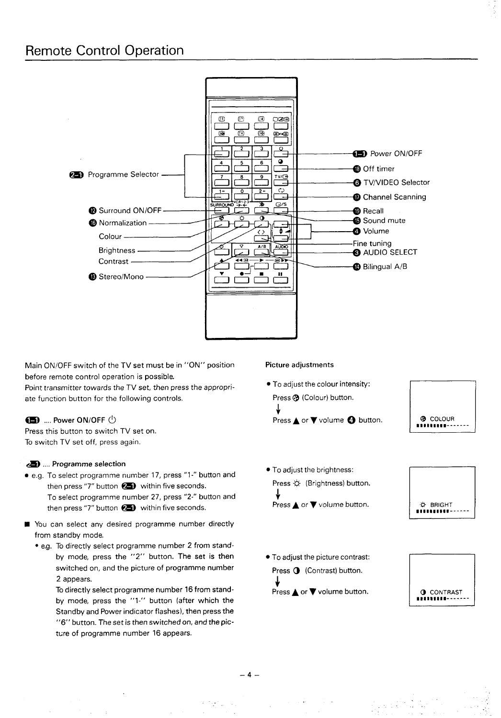

**Main ON/OFF switch of the TV set must be in "ON" position Picture adjustments before remote control operation is possible.**

**Point transmitter towards the TV set, then press the appropri- . To adjust the colour intensity: ate function button for the following controls. Press @ (Colour) button.**

#### **~ Power ON/OFF u**

**Press this button to switch TV set on. To switch TV set off, press again.**

#### **.&) .... Programme selection**

- **e.g. To select programme number 17, press "1 -" button and then press "7" button <sup>~</sup> within five seconds. Press @ (Brightness) button. Fo** select programme number 27, press "2-" button and  $\downarrow$  **+ Press ▲** or ▼ volume button. **then** press "7" button  $\bullet$  **D** within five seconds.
- **You can select any desired programme number directly from standby mode.**
	- **e.g. To directly select programme number 2 from standby mode, press the "2" button. The set is then switched on, and the picture of programme number 2 appears.**

**To directly select programme number 16 from standby mode, press the "l-" button (after which the Standby and Power indicator flashes), then press the "6" button. The set is then switched on, and the picttire of programme number 16 appears.**

**\$ Press A or ~ volume ~ button.**

**!--! @ COLOUR DnnlaIm91-------**

- **. To adjust the brightness:**
- O BRIGHT ..........
- **. To adjust the picture contrast: Press**  $\bigcirc$  (Contrast) button. + **Press A or ~ volume button.**



. . ,,

. .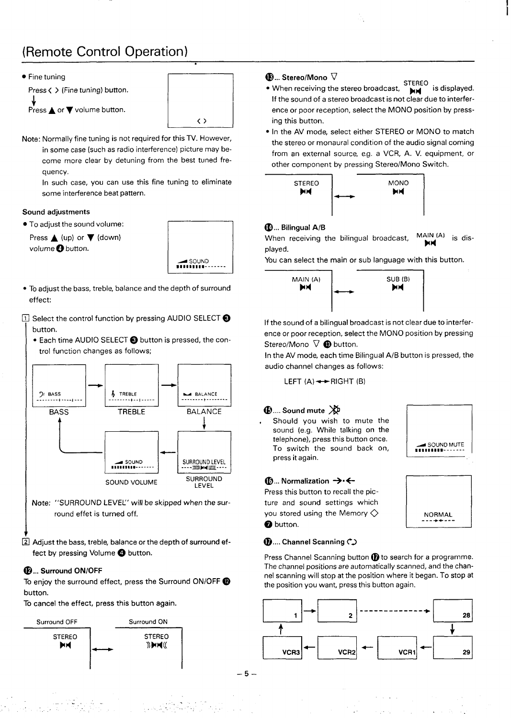# **(Remote Control Operation)**





**Note: Normally fine tuning is not required for this TV. However, in some case (such as radio interference) picture may become more clear by detuning from the best tuned frequency.**

**In such case, you can use this fine tuning to eliminate some interference beat pattern.**

#### **Sound adjustments**

● **TO adjust the sound volume:**

**Press A (up) or ~ (down) volume ~ button.**



- **To adjust the bass, treble, balance and the depth of surround effect:**
- **Select the control function by pressing AUDIO SELECT@ button.**
	- **. Each time AUDIO SELECT @ button is pressed, the control function changes as follows;**



**Adjust the bass, treble, balance or the depth of surround effect by pressing Volume@ button.**

#### **@,.. Surround ON/OFF**

**To enjoy the surround effect, press the Surround ON/OFF@ button.**

**To cancel the effect, press this button again.**



#### **@... Stereo/Mono ~**

- **STEREO** is displayed. **• When receiving the stereo broadcast, If the sound of a stereo broadcast is not c-lea-rdue to interference or poor reception, select the MONO position by pressing this button.**
- **In the AV mode, select either STEREO or MONO to match the stereo or monaural condition of the audio signal coming from an external source, e.g. a VCR, A. V. equipment, or other component by pressing Stereo/Mono Switch.**



#### **@... Bilingual A/B**

When receiving the bilingual broadcast, MAIN (A) is dis-**X4 played.**

**You can select the main or sub language with this button.**



**If the sound of a bilingual broadcast is not clear due to interference or poor reception, select the MONO position by pressing Stereo/Mono ~ @ button.**

**In the AV mode, each time Bilingual A/B button is pressed, the audio channel changes as follows:**

**LEFT** (A) ← RIGHT (B)

#### **@.... Sound mute ~**

**Should you wish to mute the sound (e.g. While talking on the telephone), press this button once. To switch the sound back on, press it again.**

#### **<b>**<del>...</del> **Normalization** →  $\leftarrow$

**Press this button to recall the picture and sound settings which you stored using the Memory O @ button.**



 $NORMAL$ 

**@.... Channel Scanning C.)**

**Press Channel Scanning button @to search for a programme. The channel positions are automatically scanned, and the channel scanning will stop at the position where it began. To stop at the position you want, press this button again.**

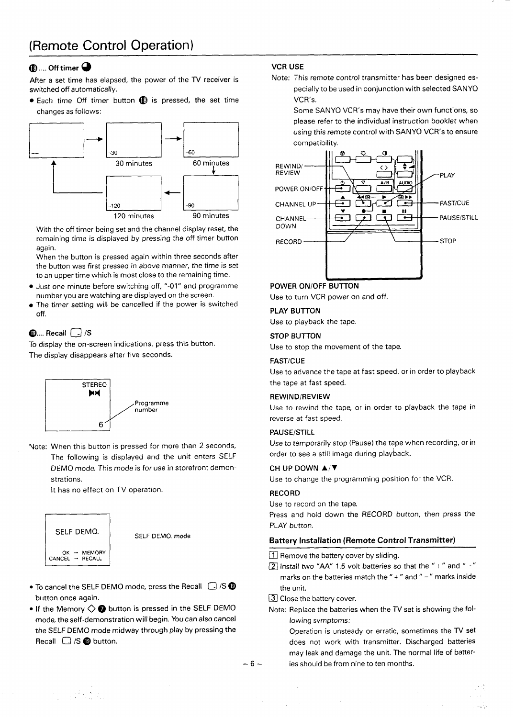### **@.... Off timer @ VCR USE**

**After a set time has elapsed, the power of the TV receiver is switched off automatically.**

**. Each time Off timer button @ is pressed, the set time changes as follows:**



**With the off timer being set and the channel display reset, the remaining time is displayed by pressing the off timer button again.**

**When the button is pressed again within three seconds after the button was first pressed in above manner, the time is set to an upper time which is most close to the remaining time.**

- **. Just one minute before switching off, "-01" and programme number you are watching are displayed on the screen.**
- **The timer setting will be cancelled if the power is switched off.**

### @.... **Recall ~/S**

**To display the on-screen indications, press this button. The display disappears after five seconds.**



**'Note: When this button is pressed for more than 2 seconds, The following is displayed and the unit enters SELF DEMO mode. This mode is for use in storefront demonstrations.**

**It has no effect on TV operation**



.,

**SELF DEMO. mode**

- **To cancel the SELF DEMO mode, press the Recall ~ /S@ button once again.**
- **If the Memory 00 button is pressed in the SELF DEMO mode, the self-demonstration will begin. You can also cancel the SELF DEMO mode midway through play by pressing the Recall ~ /S @ button.**

**Note: This remote control transmitter has been designed especially to be used in conjunction with selected SANYO VCR'S,**

**Some SANYO VCR's may have their own functions, so please refer to the individual instruction booklet when using this remote control with SANYO VCR's to ensure compatibility.**



#### **POWER ON/OFF BUTTON**

**Use to turn VCR power on and off.**

#### **PLAY BUTTON**

**Use to playback the tape.**

#### **STOP BUTTON**

**Use to stop the movement of the tape.**

#### **FAST/CUE**

**Use to advance the tape at fast speed, or in order to playback the tape at fast speed.**

#### **REWIND/REVIEW**

**Use to rewind the tape, or in order to playback the tape in reverse at fast speed.**

#### **PAUSE/STILL**

**Use to temporarily stop (Pause) the tape when recording, or in order to see a still image during playback.**

#### **CH UP DOWN** A/~

**Use to change the programming position for the VCR.**

#### **RECORD**

**Use to record on the tape.**

**Press and hold down the RECORD button, then press the PLAY button.**

#### **Battery Installation (Remote Control Transmitter)**

❑ **Remove the battery cover by sliding.**

- ❑ **Install two "AA" 1.5 volt batteries so that the " +" and "-" marks on the batteries match the"+" and "–" marks inside the unit.**
- ❑ **Close the battery cover.**
- **Note: Replace the batteries when the TV set is showing the following symptoms:**

**Operation is unsteady or erratic, sometimes the TV set does not work with transmitter. Discharged batteries may leak and damage the unit. The normal life of batter- –6– ies should be from nine to ten months.**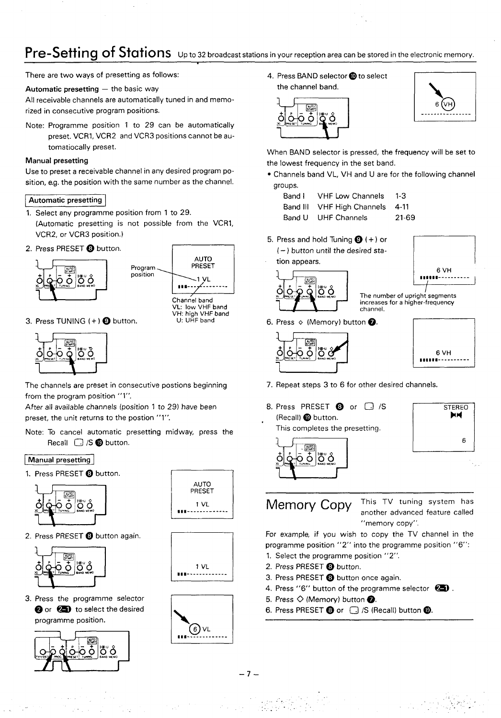## **Pre-Setting of Stations** Up to 32 broadcast stations in your reception area can be stored in the electronic memory.

**There are two ways of presetting as follows:**

#### **Automatic presetting – the basic way**

**All receivable channels are automatically tuned in and memorized in consecutive program positions.**

**Note: Programme position 1 to 29 can be automatically preset. VCRI, VCR2 and VCR3 positions cannot be automatically preset.**

#### **Manual presetting**

**Use to preset a receivable channel in any desired program position, e.g. the position with the same number as the channel.**

#### **Automatic presetting**

- **1. Select any programme position from 1 to 29.**
- **(Automatic presetting is not possible from the VCRI, VCR2, or VCR3 position.)**
- **2. Press PRESET@ button.**





Channel band **VL low VHF band W-i: high VHF band U: UHF band**

**3. Press TUNING ( + ) @ button.**



**The channels are preset in consecutive postions beginning from the program position "l".**

**After all available channels [position 1 to 29) have been preset, the unit returns to the postion "l".**

**Note: To cancel automatic presetting midway, press the Recall D /S@ button.**

#### **Manual presetting**

1. **Press PRESET @ button. <sup>1</sup>**





**3. Press the programme selector Q or ~ to select the desired programme position.**





**1 VL a#m-------------**

I



**4. Press BAND selector @to select the channel band.**





**When BAND selector is pressed, the frequency will be set to the lowest frequency in the set band.**

- **Channels band VL, VH and U are for the following channel groups.**
	- **Band I VHF Low Channels 1-3 Band Ill VHF High Channels 4-11 Band U UHF Channels 21-69**
	-
- **5. Press and hold Tuning @ (+) or ( – ) button until the desired station appears.**





 $\overline{Q}$   $\overline{Q}$   $\overline{Q}$   $\overline{Q}$   $\overline{Q}$   $\overline{Q}$   $\overline{Q}$   $\overline{Q}$   $\overline{Q}$   $\overline{Q}$   $\overline{Q}$   $\overline{Q}$   $\overline{Q}$   $\overline{Q}$   $\overline{Q}$   $\overline{Q}$   $\overline{Q}$   $\overline{Q}$   $\overline{Q}$   $\overline{Q}$   $\overline{Q}$   $\overline{Q}$   $\overline{Q}$   $\overline{Q}$   $\overline{$ **increases for a higher-frequency channel.**

**6. Press o (Memory) button ~.**



**m**



- **7. Repeat steps 3 to 6 for other desired channels.**
- **STEREO 8. Press PRESET ~ or D /S (Recall) @ button. X4 This completes the presetting. n 1-1.1**<br>**1-1.1**<br>**1-1.1** ¦ő o ōō

**—**

**Memory Copy This TV tuning system has another advanced feature called "memory copy".**

**For example, if you wish to copy the TV channel in the programme position "2" into the programme position "6":**

- **1. Select the programme position "2".**
- **2. Press PRESET@ button.**
- **3. Press PRESET@ button once again.**
- **4. Press "6" button of the programme selector m .**
- 5. Press  $\Diamond$  (Memory) button  $\mathbf{\odot}$ .
- **6. Press PRESET ~ or ~ /S (Recall) button@.**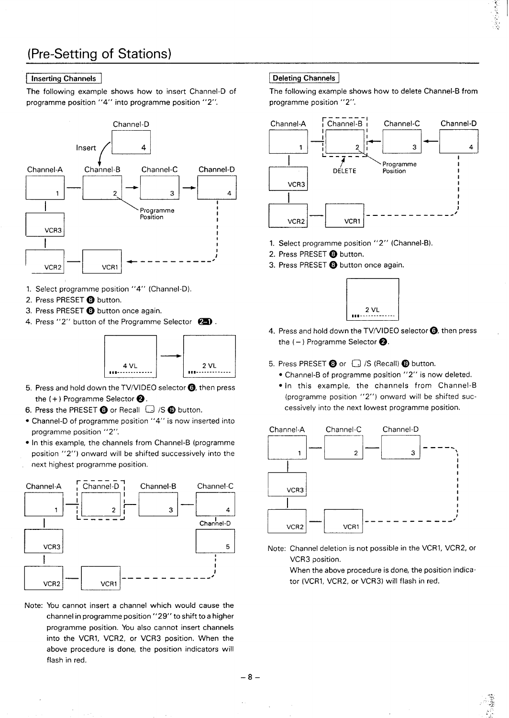# **(Pre-Setting of Stations)**

#### **Inserting Channels**

**The following example shows how to insert Channel-D of programme position "4" into programme position "2".**



- **1. Select programme position "4" (Channel-D).**
- **2. Press PRESET@ button.**
- **3. Press PRESET@ button once again.**
- **4. Press "2" button of the Programme Selector ~ .**



- **5. Press and hold down the TVIVIDEO selector @ then press the ( + ) Programme Selector@.**
- **6. Press the PRESET@ or Recall ~ /S @ button.**
- **Channel-D of programme position "4" is now inserted into programme position "2".**
- **In this example, the channels from Channel-B (programme position "2") onward will be shifted successively into the next highest programme position.**



**Note: YOU cannot insert a channel which would cause the channel in programme position "29" to shift to a higher programme position. You also cannot insert channels into the VCRI, VCR2, or VCR3 position. When the above procedure is done, the position indicators will flash in red.**

#### **I Deleting Channels I**

**The following example shows how to delete Channel-B from programme position "2".**



- **Select programme position "2" (Channel-B).** 1.
- **Press PRESET @ button. 2.**
- **Press PRESET ~ button once again. 3.**



- 
- **5. Press PRESET ~ or ~ /S (Recall) @ button.**
	- **Channel-B of programme position "2" is now deleted.**
	- **In this example, the channels from Channel-B (programme position "2") onward will be shifted successively into the next lowest programme position.**



**Note: Channel deletion is not possible in the VCRI, VCR2, or VCR3 position.**

 $\hat{\mathbb{S}}$ ;,  $\frac{1}{2}$ ... .  $\ddot{\phantom{0}}$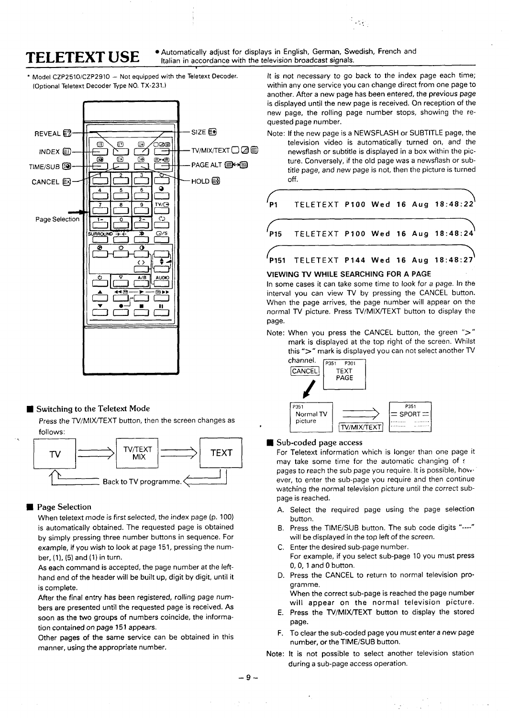**TELETEXT USE**  $\bullet$  Automatically adjust for displays in English, German, Swedish, French and **TELETEXT USE**  $\bullet$  **Italian in accordance with the television broadcast signals.** 

**[Optional Teletext Decoder Type NO. TX-231. )**



#### **W Switching** to the Teletext Mode

**Press the TV/MIX/TEXT button, then the screen changes as follows:**



#### Page Selection

**When teletext mode is first selected, the index page (p. 100) is automatically obtained. The requested page is obtained by simply pressing three number buttons in sequence. For example, if you wish to look at page 151, pressing the number, (l), (5) and (1) in turn.**

**As each command is accepted, the page number at the lefthand end of the header will be built up, digit by digit, until it is complete.**

**After the final entry has been registered, rolling page numbers are presented until the requested page is received. As soon as the two groups of numbers coincide, the information contained on page 151 appears.**

**Other pages of the same service can be obtained in this manner, using the appropriate number.**

Model CZP2510/CZP2910 - Not equipped with the Teletext Decoder. It is not necessary to go back to the index page each time; **within any one service you can change direct from one page to another. After a new page has been entered, the previous page is displayed until the new page is received. On reception of the new page, the rolling page number stops, showing the requested page number.**

 $\mathcal{L}_{\mathcal{I}}$ .,

**–SIZE ~ Note: If the new page is a NEWSFLASH or SUBTITLE page, the television video is automatically turned on, and the –TV/MIX/TEXTO E s newsflash or subtitle is displayed in a box within the pic ture. Conversely, if the old page was a newsflash or subtitle page, and new page is not, then the picture is turned off.**



#### **VIEWING lV WHILE SEARCHING FOR A PAGE**

**In some cases it can take some time to look for a page. In the interval you can view TV by pressing the CANCEL button. When the page arrives, the page number will appear on the normal TV picture. Press lV/MIX/lEXT button to display the page.**

**Note: When you press the CANCEL button, the green ">" mark is displayed at the top right of the screen. Whilst this ">" mark is displayed you can not select another TV**



#### ■ Sub-coded page access

**For Teletext information which is longer than one page it may take some time for the automatic changing of : pages to reach the sub page you require. It is possible, hovv. ever, to enter the sub-page you require and then continue watching the normal television picture until the correct subpage is reached.**

- **A. Select the required page using the page selection button.**
- **B. Press the TIME/SUB button. The sub code digits "----" will be displayed in the top left of the screen.**
- **c. Enter the desired sub-page number. For example, if you select sub-page 10 you must press O, 0, 1 and O button.**
- **D. Press the CANCEL to return to normal television programme.**
- **E. Press the TV/MIX/lEXT button to display the stored When the correct sub-page is reached the page number will appear on the normal television picture.**
- **page.**
- **F. To clear the sub-coded page you must enter a new page number, or the TIME/SUB button.**
- **Note: It is not possible to select another television station during a sub-page access operation.**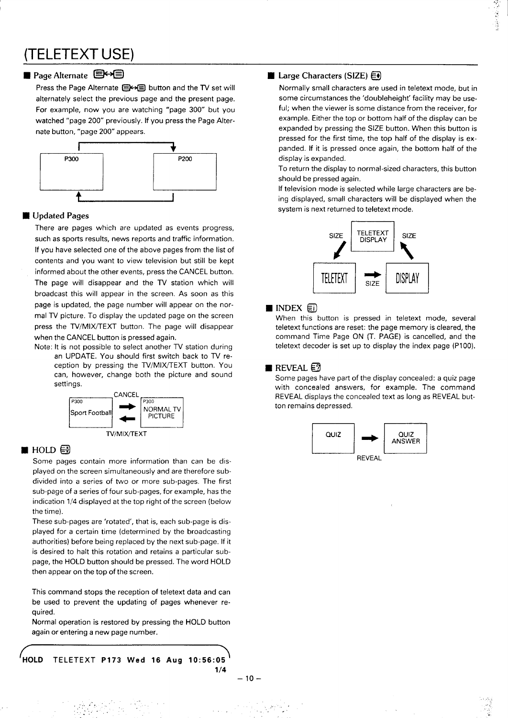# **(TELETEXT USE)**

### **Page Alternate**  $\mathbf{\mathbb{R}}$

**Press the Page Alternate ~ button and the TV set will alternately select the previous page and the present page. For example, now you are watching "page 300" but you watched "page 200" previously. If you press the Page Alternate button, "page 200" appears**



#### Updated Pages

**There are pages which are updated as events progress, such as sports results, news reports and traffic information. If you have selected one of the above pages from the list of contents and you want to view television but still be kept informed about the other events, press the CANCEL button. The page will disappear and the TV station which will broadcast this will appear in the screen. As soon as this page is updated, the page number will appear on the normal TV picture. To display the updated page on the screen press the TV/MIX~EXT button. The page will disappear when the CANCEL button is pressed again.**

**Note: It is not possible to select another TV station during an UPDATE. You should first switch back to TV reception by pressing the TVIMIXAEXT button. You can, however, change both the picture and sound settings.**



### $\blacksquare$  HOLD  $\boldsymbol{\Xi}$

**Some pages contain more information than can be displayed on the screen simultaneously and are therefore subdivided into a series of two or more sub-pages, The first sub-page of a series of four sub-pages, for example, has the indication 1/4 displayed at the top right of the screen (below the time).**

**These sub-pages are 'rotated', that is, each sub-page is displayed for a certain time (determined by the broadcasting authorities) before being replaced by the next sub-page. If it is desired to halt this rotation and retains a particular subpage, the HOLD button should be pressed. The word HOLD then appear on the top of the screen.**

**This command stops the reception of teletext data and can be used to prevent the updating of pages whenever required.**

**Normal operation is restored by pressing the HOLD button again or entering a new page number.**

. . .. . . . . . **.",.**

**HOLD TELETEXT P173 Wed 16 Aug 10:56:05 1/4**

> $\cdots$ , ... , ... , ... , ... , ... , ... , ... , ... , ... , ... , ... , ... , ... , ... , ... , ... , ... , ... , ... , ... , ... , ... , ... , ... , ... , ... , ... , ... , ... , ... , ... , ... , ... , ... , ... , ... , ... ..

 $\mathcal{L}$  .

#### $-10-$

..

,. . .

#### **H** Large Characters (SIZE)  $\bigoplus$

**Normally small characters are used in teletext mode, but in some circumstances the 'doubleheight' facility may be useful; when the viewer is some distance from the receiver, for example. Either the top or bottom half of the display can be expanded by pressing the SIZE button. When this button is pressed for the first time, the top half of the display is expanded. if it is pressed once again, the bottom half of the display is expanded.**

**To return the display to normal-sized characters, this button should be pressed again.**

**If television mode is selected while large characters are being displayed, small characters will be displayed when the system is next returned to teletext mode.**



### $\blacksquare$  INDEX  $\boxdot$

**When this button is pressed in teletext mode, several teletext functions are reset: the page memory is cleared, the command Time Page ON (T. PAGE) is cancelled, and the teletext decoder is set up to display the index page (P1OO).**

#### REVEAL  $\Xi$

**Some pages have part of the display concealed: a quiz page with concealed answers, for example. The command REVEAL displays the concealed text as long as REVEAL button remains depressed.**



. .. . . ,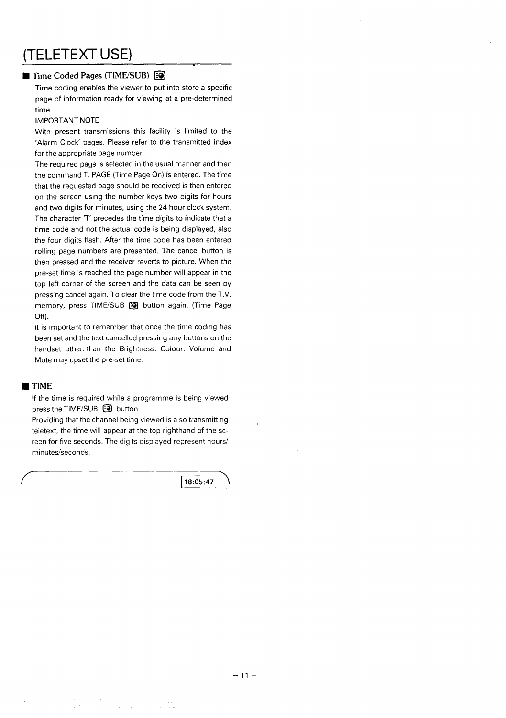# **(TELETEXT USE)**

### Time Coded Pages (TIME/SUB) @

**Time coding enables the viewer to put into store a specific page of information ready for viewing at a pre-determined time.**

#### **IMPORTANT NOTE**

**With present transmissions this facility is limited to the 'Alarm Clock' pages. Please refer to the transmitted index for the appropriate page number.**

**The required page is selected in the usual manner and then the command T. PAGE (Time Page On) is entered. The time that the requested page should be received is then entered on the screen using the number keys two digits for hours and two digits for minutes, using the 24 hour clock system. The character 'T' precedes the time digits to indicate that a time code and not the actual code is being displayed, also the four digits flash. After the time code has been entered rolling page numbers are presented. The cancel button is then pressed and the receiver reverts to picture. When the pre-set time is reached the page number will appear in the top left corner of the screen and the data can be seen by pressing cancel again. To clear the time code from the T.V. memory, press TIME/SUB @ button again. (Time Page off).**

**It is important to remember that once the time coding has been set and the text cancelled pressing any buttons on the handset other. than the Brightness, Colour, Volume and Mute may upset the pre-set time.**

#### ■ TIME

**If the time is required while a programme is being viewed press the TIME/SUB @l button.**

**Providing that the channel being viewed is also transmitting teletext, the time will appear at the top righthand of the screen for five seconds. The digits displayed represent hours/** minutes/seconds.

18:05:47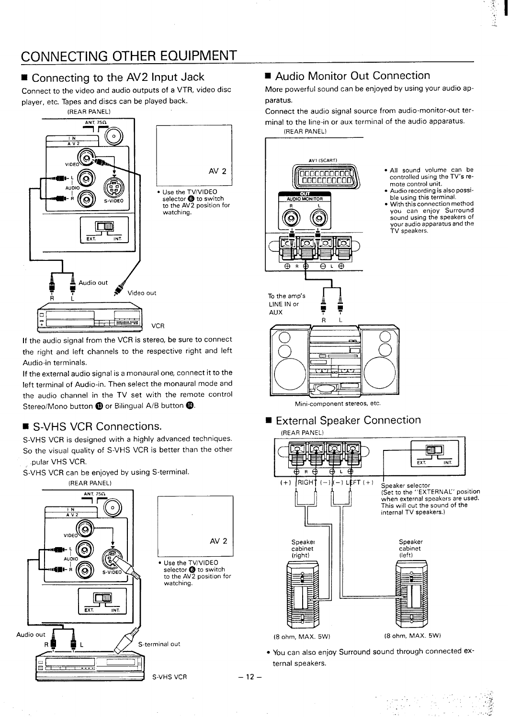# **CONNECTING OTHER EQUIPMENT**

**w Connecting to the AV2 Input Jack**

**Connect to the video and audio outputs of a VTR, video disc player, etc. Tapes and discs can be played back.**



**If the audio signal from the VCR is stereo, be sure to connect the right and left channels to the respective right and left Audio-in terminals.**

**If the external audio signal is a monaural one, connect it to the left terminal of Audio-in. Then select the monaural mode and the audio channel in the TV set with the remote control Stereo/Mono button @or Bilingual A/B button @**

## **E S-VHS VCR Connections.**

**S-VHS VCR is designed with a highly advanced techniques. So the visual quality of S-VHS VCR is better than the other pular VHS VCR.**

**S-VHS VCR can be enjoyed by using S-terminal**



## ■ **Audio Monitor** Out Connection

**More powerful sound can be enjoyed by using your audio apparatus.**

,.

**Connect the audio signal source from audio-monitor-out terminal to the line-in or aux terminal of the audio apparatus. (REAR PANEL)**



Mini-component stereos, etc.

**9 External Speaker Connection** (REAR PANEL)



● **YOU can also enjoy Surround sound through connected external speakers.**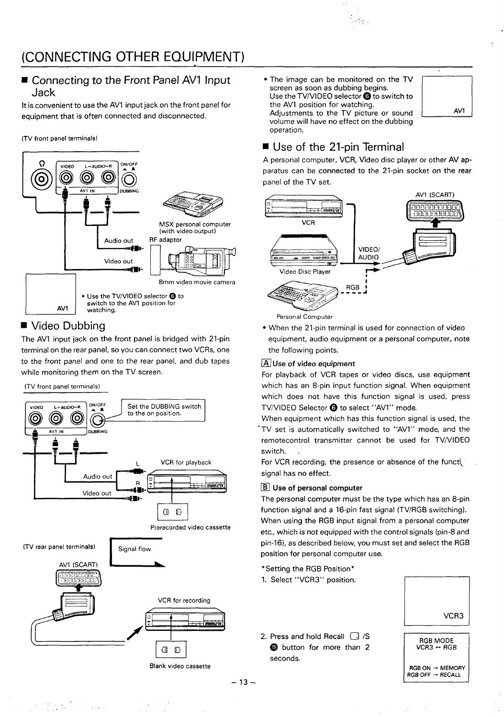### ■ **Connecting to the Front Panel AV1 Input Jack**

**Itis convenient to use the AV1 input jack on the front panel for equipment that is often connected and disconnected.**

#### **(TV front panel terminals)**



### **<sup>9</sup> video** Dubbing

**The AV1 input jack on the front panel is bridged with 21-pin terminal on the rear panel, so You can connect two VCRs, one to the front panel and one to the rear panel, and dub tapes while monitoring them on the TV screen.**

(TV front panel terminals)



Blank video cassette

● **The image can be monitored on the TV screen as soon as dubbing begins. Use the TV/VIDEO selector~ to switch to the AVI position for watching.** The image can be monitored on the TV<br>screen as soon as dubbing begins.<br>Use the TV/VIDEO selector **o** to switch to<br>the AV1 position for watching.<br>Adjustments to the TV picture or sound **volume will have no effect on the dubbing operation.**

.. ,-



### **w Use of the 21-pin Terminal**

A personal computer, VCR, Video disc player or other AV ap**paratus can be connected to the 21-pin socket on the rear panel of the TV set.**



**Personal Computer**

● **When the 21-pin terminal is used for connection of video equipment, audio equipment or a personal computer, note the following points.**

### ❑ **Use of video equipment**

**For playback of VCR tapes or video discs, use equipment which has an 8-pin input function signal. When equipment which does not have this function signal is used, press TV/VIDEO Selector @to select "AV1" mode.**

**When equipment which has this function signal is used, the 'TV set is automatically switched to "AVI" mode, and the remotecontrol transmitter cannot be used for TV/VIDEO switch. .**

**For VCR recording, the presence or absence of the functi signal has no effect.**

### ❑ **Use of personal computer**

**The personal computer must be the type which has an 8-pin function signal and a 16-pin fast signal (TV/RGB switching). When using the RGB input signal from a personal computer etc., which is not equipped with the control signals [pin-8 and pin-16), as described below, you must set and select the RGB position for personal computer use.**

1. **Select "VCR3'r position.**

| VCR3 |
|------|
|      |

**2. Press and hold Recall ~ /S @ button for more than 2** Press and hold Recall  $\bigcup$  /S<br> **label button** for more than 2<br>
seconds.<br>
RGB ON - RGB ON - RGB OF - L<br>
RGB OF - L<br>
RGB OF - L



**–13–**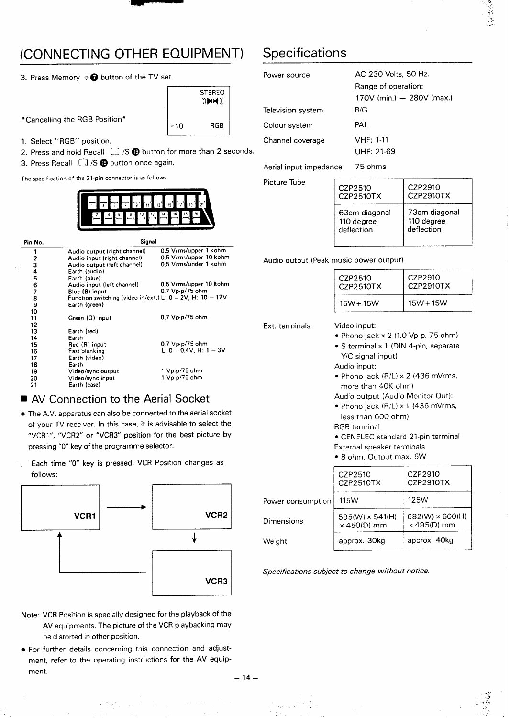# **(CONNECTING OTHER EQUIPMENT) Specifications**

**3. Press Memory o @ button of the TV set.**

**'Canceling the RGB Position\***



**1. Select "RGB" position.**

**2. Press and hold Recall ~ /S@ button for more than 2 seconds.**

**3. Press Recall D /S @ button once again.**

**The specification of the 21.pin connector is as follows:**



| Pin No.        | Signal                                                                                     |                                                                          |                                        |                                                             |                  |
|----------------|--------------------------------------------------------------------------------------------|--------------------------------------------------------------------------|----------------------------------------|-------------------------------------------------------------|------------------|
| 2<br>3         | Audio output (right channel)<br>Audio input (right channel)<br>Audio output (left channel) | 0.5 Vrms/upper 1 kohm<br>0.5 Vrms/upper 10 kohm<br>0.5 Vrms/under 1 kohm | Audio output (Peak music power output) |                                                             |                  |
| 5<br>6         | Earth (audio)<br>Earth (blue)<br>Audio input (left channel)<br>Blue (B) input              | 0.5 Vrms/upper 10 kohm<br>$0.7$ Vp-p/75 ohm                              |                                        | CZP2510<br>CZP2510TX                                        | CZP291<br>CZP291 |
| 8<br>9<br>10   | Function switching (video in/ext.) L: $0 - 2V$ , H: $10 - 12V$<br>Earth (green)            |                                                                          |                                        | $15W + 15W$                                                 | $15W + 1$        |
| 11<br>12       | Green (G) input                                                                            | 0.7 Vp-p/75 ohm                                                          | Ext. terminals                         | Video input:                                                |                  |
| 13<br>14       | Earth (red)<br>Earth                                                                       |                                                                          |                                        | • Phono jack $\times$ 2 (1.0 Vp-p, 75                       |                  |
| 15<br>16<br>17 | Red (R) input<br>Fast blanking<br>Earth (video)                                            | 0.7 Vp.p/75 ohm<br>$L: 0 - 0.4V$ , H: 1 $-3V$                            |                                        | • S-terminal $\times$ 1 (DIN 4-pin, se<br>Y/C signal input) |                  |
| 18<br>19       | Earth<br>Video/sync output                                                                 | 1 Vp-p/75 ohm                                                            |                                        | Audio input:                                                |                  |
| 20<br>21       | Video/sync input<br>Earth (case)                                                           | 1 Vp-p/75 ohm                                                            |                                        | • Phono jack $(R/L) \times 2$ (436 m<br>more than 40K ohm)  |                  |

### ■ **AV** Connection to the Aerial Socket

- **. The A.V. apparatus can also be connected to the aerial socket of your TV receiver. In this case, it is advisable to select the "VCR 1", "VCR2r' or "VCR3" position for the best picture by pressing "O" key of the programme selector.**
- **Each time "O" key is pressed, VCR Position changes as follows:**



- **VCR Position is specially designed for the playback of the Note: AV equipments. The picture of the VCR play backing may be distorted in other position.**
- **further details concerning this connection and adjust- For ment, refer to the operating instructions for the AV equipment.**

**.-**

| ıt.                   |                          | Power source      | AC 230 Volts, 50 Hz.                                      |
|-----------------------|--------------------------|-------------------|-----------------------------------------------------------|
| <b>STEREO</b><br>DHE( |                          | Television system | Range of operation:<br>170V (min.) $-$ 280V (max.)<br>B/G |
| $-10$                 | RGB                      | Colour system     | PAL                                                       |
|                       |                          | Channel coverage  | <b>VHF: 1-11</b>                                          |
|                       | for more than 2 seconds. |                   | UHF: 21-69                                                |

**Aerial input impedance 75 ohms**

**Picture Tube**

| CZP2510             | CZP2910          |
|---------------------|------------------|
| CZP2510TX           | <b>CZP2910TX</b> |
| 63cm diagonal       | 73cm diagonal    |
| 110 degree          | 110 degree       |
| deflection          | deflection       |
| mueic nower output) |                  |

 $\sim$   $\sim$  $\sim$ ,.. ., .  $^{\prime}$ ,  $^{\prime}$ .,

 $\mathcal{I}^{\pm}$ ,. **.7 ., .,,. .:. ;, ,-**/7 .

#### **<sup>3</sup> Audio output (left channel) 0.5 Vrmslunder <sup>1</sup> kohm Audio output (Peak music power output)**

| CZP2510     | CZP2910     |
|-------------|-------------|
| CZP2510TX   | CZP2910TX   |
| $15W + 15W$ | $15W + 15W$ |

- - **Phono jack x 2 (1.0 Vp-p, 75 ohm)**
	- **S-terminal x 1 (DIN 4-pin, separate Y/C signal input)**
	- **Audio input:**
	- **Phono jack (R/L) x 2 (436 mVrms, more than 40K ohm)**
	- **Audio output (Audio Monitor Out):**
	- **Phono jack (R/L) x 1 (436 mVrms, less than 600 ohm)**
	- **RGB terminal**

● **CENELEC standard 21-pin terminal**

- **External speaker terminals**
- **8 ohm, Output max. 5W**

|                   | CZP2510<br>CZP2510TX                         | CZP2910<br><b>CZP2910TX</b>                  |
|-------------------|----------------------------------------------|----------------------------------------------|
| Power consumption | 115W                                         | 125W                                         |
| Dimensions        | $595(W) \times 541(H)$<br>$\times$ 450(D) mm | $682(W) \times 600(H)$<br>$\times$ 495(D) mm |
| Weight            | approx. 30kg                                 | approx. 40kg                                 |

**Specifications subject to change without notice.**